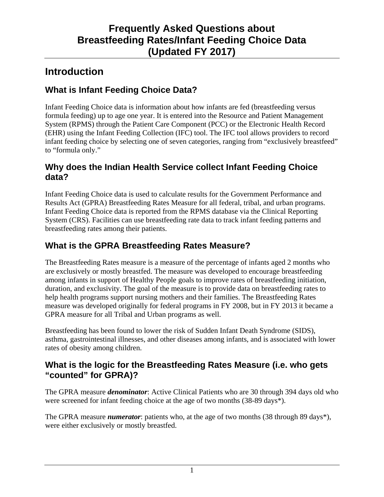# **Introduction**

## **What is Infant Feeding Choice Data?**

Infant Feeding Choice data is information about how infants are fed (breastfeeding versus formula feeding) up to age one year. It is entered into the Resource and Patient Management System (RPMS) through the Patient Care Component (PCC) or the Electronic Health Record (EHR) using the Infant Feeding Collection (IFC) tool. The IFC tool allows providers to record infant feeding choice by selecting one of seven categories, ranging from "exclusively breastfeed" to "formula only."

## **Why does the Indian Health Service collect Infant Feeding Choice data?**

Infant Feeding Choice data is used to calculate results for the Government Performance and Results Act (GPRA) Breastfeeding Rates Measure for all federal, tribal, and urban programs. Infant Feeding Choice data is reported from the RPMS database via the Clinical Reporting System (CRS). Facilities can use breastfeeding rate data to track infant feeding patterns and breastfeeding rates among their patients.

## **What is the GPRA Breastfeeding Rates Measure?**

The Breastfeeding Rates measure is a measure of the percentage of infants aged 2 months who are exclusively or mostly breastfed. The measure was developed to encourage breastfeeding among infants in support of Healthy People goals to improve rates of breastfeeding initiation, duration, and exclusivity. The goal of the measure is to provide data on breastfeeding rates to help health programs support nursing mothers and their families. The Breastfeeding Rates measure was developed originally for federal programs in FY 2008, but in FY 2013 it became a GPRA measure for all Tribal and Urban programs as well.

Breastfeeding has been found to lower the risk of Sudden Infant Death Syndrome (SIDS), asthma, gastrointestinal illnesses, and other diseases among infants, and is associated with lower rates of obesity among children.

### **What is the logic for the Breastfeeding Rates Measure (i.e. who gets "counted" for GPRA)?**

The GPRA measure *denominator*: Active Clinical Patients who are 30 through 394 days old who were screened for infant feeding choice at the age of two months (38-89 days\*).

The GPRA measure *numerator*: patients who, at the age of two months (38 through 89 days\*), were either exclusively or mostly breastfed.

1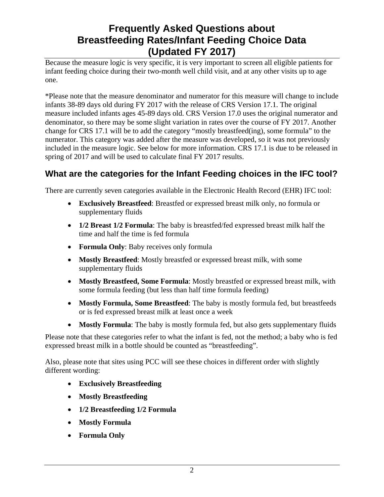Because the measure logic is very specific, it is very important to screen all eligible patients for infant feeding choice during their two-month well child visit, and at any other visits up to age one.

\*Please note that the measure denominator and numerator for this measure will change to include infants 38-89 days old during FY 2017 with the release of CRS Version 17.1. The original measure included infants ages 45-89 days old. CRS Version 17.0 uses the original numerator and denominator, so there may be some slight variation in rates over the course of FY 2017. Another change for CRS 17.1 will be to add the category "mostly breastfeed(ing), some formula" to the numerator. This category was added after the measure was developed, so it was not previously included in the measure logic. See below for more information. CRS 17.1 is due to be released in spring of 2017 and will be used to calculate final FY 2017 results.

## **What are the categories for the Infant Feeding choices in the IFC tool?**

There are currently seven categories available in the Electronic Health Record (EHR) IFC tool:

- **Exclusively Breastfeed**: Breastfed or expressed breast milk only, no formula or supplementary fluids
- **1/2 Breast 1/2 Formula**: The baby is breastfed/fed expressed breast milk half the time and half the time is fed formula
- **Formula Only**: Baby receives only formula
- **Mostly Breastfeed**: Mostly breastfed or expressed breast milk, with some supplementary fluids
- **Mostly Breastfeed, Some Formula**: Mostly breastfed or expressed breast milk, with some formula feeding (but less than half time formula feeding)
- **Mostly Formula, Some Breastfeed**: The baby is mostly formula fed, but breastfeeds or is fed expressed breast milk at least once a week
- **Mostly Formula**: The baby is mostly formula fed, but also gets supplementary fluids

Please note that these categories refer to what the infant is fed, not the method; a baby who is fed expressed breast milk in a bottle should be counted as "breastfeeding".

Also, please note that sites using PCC will see these choices in different order with slightly different wording:

- **Exclusively Breastfeeding**
- **Mostly Breastfeeding**
- **1/2 Breastfeeding 1/2 Formula**
- **Mostly Formula**
- **Formula Only**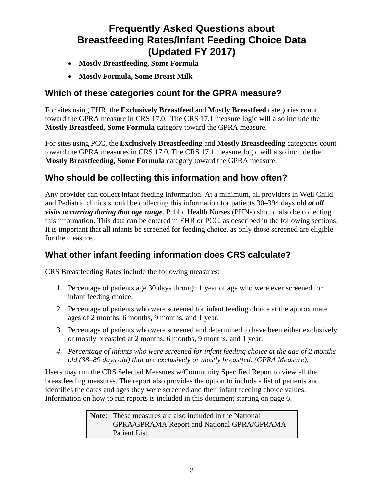- **Mostly Breastfeeding, Some Formula**
- **Mostly Formula, Some Breast Milk**

### **Which of these categories count for the GPRA measure?**

For sites using EHR, the **Exclusively Breastfeed** and **Mostly Breastfeed** categories count toward the GPRA measure in CRS 17.0. The CRS 17.1 measure logic will also include the **Mostly Breastfeed, Some Formula** category toward the GPRA measure.

For sites using PCC, the **Exclusively Breastfeeding** and **Mostly Breastfeeding** categories count toward the GPRA measures in CRS 17.0. The CRS 17.1 measure logic will also include the **Mostly Breastfeeding, Some Formula** category toward the GPRA measure.

### **Who should be collecting this information and how often?**

Any provider can collect infant feeding information. At a minimum, all providers in Well Child and Pediatric clinics should be collecting this information for patients 30–394 days old *at all visits occurring during that age range*. Public Health Nurses (PHNs) should also be collecting this information. This data can be entered in EHR or PCC, as described in the following sections. It is important that all infants be screened for feeding choice, as only those screened are eligible for the measure.

### **What other infant feeding information does CRS calculate?**

CRS Breastfeeding Rates include the following measures:

- 1. Percentage of patients age 30 days through 1 year of age who were ever screened for infant feeding choice.
- 2. Percentage of patients who were screened for infant feeding choice at the approximate ages of 2 months, 6 months, 9 months, and 1 year.
- 3. Percentage of patients who were screened and determined to have been either exclusively or mostly breastfed at 2 months, 6 months, 9 months, and 1 year.
- *4. Percentage of infants who were screened for infant feeding choice at the age of 2 months old (38–89 days old) that are exclusively or mostly breastfed. (GPRA Measure).*

Users may run the CRS Selected Measures w/Community Specified Report to view all the breastfeeding measures. The report also provides the option to include a list of patients and identifies the dates and ages they were screened and their infant feeding choice values. Information on how to run reports is included in this document starting on page 6.

> **Note**: These measures are also included in the National GPRA/GPRAMA Report and National GPRA/GPRAMA Patient List.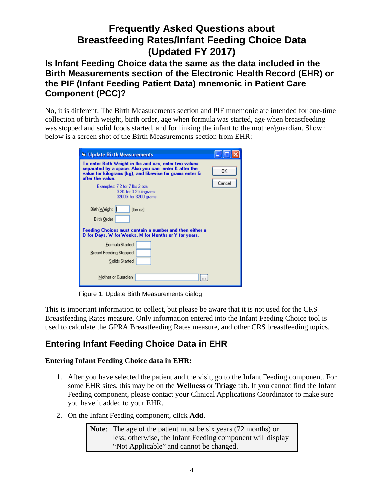#### **Is Infant Feeding Choice data the same as the data included in the Birth Measurements section of the Electronic Health Record (EHR) or the PIF (Infant Feeding Patient Data) mnemonic in Patient Care Component (PCC)?**

No, it is different. The Birth Measurements section and PIF mnemonic are intended for one-time collection of birth weight, birth order, age when formula was started, age when breastfeeding was stopped and solid foods started, and for linking the infant to the mother/guardian. Shown below is a screen shot of the Birth Measurements section from EHR:

| Update Birth Measurements                                                                                                                                                                                                                                                                         |
|---------------------------------------------------------------------------------------------------------------------------------------------------------------------------------------------------------------------------------------------------------------------------------------------------|
| To enter Birth Weight in Ibs and ozs, enter two values<br>separated by a space. Also you can enter K after the<br>0K<br>value for kilograms (kg), and likewise for grams enter G<br>after the value.<br>Cancel<br>Examples: 7 2 for 7 lbs 2 ozs<br>3.2K for 3.2 kilograms<br>3200G for 3200 grams |
| Birth Weight<br>$[$ lbs oz $]$<br>Birth Order                                                                                                                                                                                                                                                     |
| Feeding Choices must contain a number and then either a<br>D for Days, W for Weeks, M for Months or Y for years.                                                                                                                                                                                  |
| Formula Started                                                                                                                                                                                                                                                                                   |
| <b>Breast Feeding Stopped</b>                                                                                                                                                                                                                                                                     |
| Solids Started                                                                                                                                                                                                                                                                                    |
| Mother or Guardian                                                                                                                                                                                                                                                                                |

Figure 1: Update Birth Measurements dialog

This is important information to collect, but please be aware that it is not used for the CRS Breastfeeding Rates measure. Only information entered into the Infant Feeding Choice tool is used to calculate the GPRA Breastfeeding Rates measure, and other CRS breastfeeding topics.

## **Entering Infant Feeding Choice Data in EHR**

#### **Entering Infant Feeding Choice data in EHR:**

- 1. After you have selected the patient and the visit, go to the Infant Feeding component. For some EHR sites, this may be on the **Wellness** or **Triage** tab. If you cannot find the Infant Feeding component, please contact your Clinical Applications Coordinator to make sure you have it added to your EHR.
- 2. On the Infant Feeding component, click **Add**.

**Note**: The age of the patient must be six years (72 months) or less; otherwise, the Infant Feeding component will display "Not Applicable" and cannot be changed.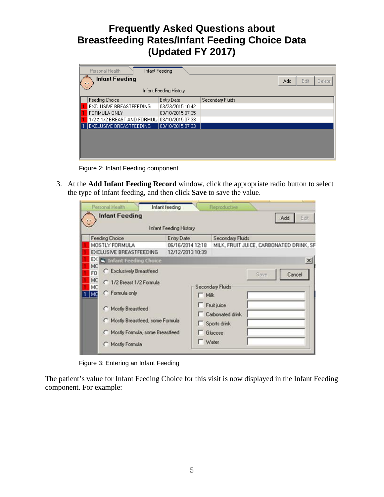| Personal Health<br>Infant Feeding   |                                              |  |     |  |  |  |  |  |  |
|-------------------------------------|----------------------------------------------|--|-----|--|--|--|--|--|--|
| <b>Infant Feeding</b><br>$\ddot{a}$ |                                              |  |     |  |  |  |  |  |  |
| Infant Feeding History              |                                              |  |     |  |  |  |  |  |  |
| Entry Date                          | Secondary Fluids                             |  |     |  |  |  |  |  |  |
| 03/23/2015 10:42                    |                                              |  |     |  |  |  |  |  |  |
| 03/10/2015 07:35                    |                                              |  |     |  |  |  |  |  |  |
|                                     |                                              |  |     |  |  |  |  |  |  |
| 03/10/2015 07:33                    |                                              |  |     |  |  |  |  |  |  |
|                                     |                                              |  |     |  |  |  |  |  |  |
|                                     |                                              |  |     |  |  |  |  |  |  |
|                                     |                                              |  |     |  |  |  |  |  |  |
|                                     |                                              |  |     |  |  |  |  |  |  |
|                                     | 1/2 & 1/2 BREAST AND FORMUL 03/10/2015 07:33 |  | Add |  |  |  |  |  |  |

Figure 2: Infant Feeding component

3. At the **Add Infant Feeding Record** window, click the appropriate radio button to select the type of infant feeding, and then click **Save** to save the value.

| <b>Infant Feeding</b>                                                                                                                                                                                         | <b>Infant Feeding History</b>        | Eißt<br>Add                                                                                                             |
|---------------------------------------------------------------------------------------------------------------------------------------------------------------------------------------------------------------|--------------------------------------|-------------------------------------------------------------------------------------------------------------------------|
| <b>Feeding Choice</b>                                                                                                                                                                                         | <b>Entry Date</b>                    | Secondary Fluids                                                                                                        |
| MOSTLY FORMULA<br>EXCLUSIVE BREASTFEEDING                                                                                                                                                                     | 06/16/2014 12:18<br>12/12/2013 10:39 | MILK, FRUIT JUICE, CARBONATED DRINK, SF                                                                                 |
| EX I<br>Infant Feeding Choice<br>MC                                                                                                                                                                           |                                      |                                                                                                                         |
| C Exclusively Breastfeed<br>FO<br>MC<br>C 1/2 Breast 1/2 Formula<br>MC<br>C Formula only<br>MC<br>C Mostly Breastfeed<br>Mostly Breastfeed, some Formula<br>Mostly Formula, some Breastfeed<br>Mostly Formula | $\Box$ Mik<br>П                      | Cancel<br>Save<br><b>Secondary Fluids</b><br>Fruit juice<br>Carbonated drink<br>Sports drink<br>Glucose<br>$\Box$ Water |

Figure 3: Entering an Infant Feeding

The patient's value for Infant Feeding Choice for this visit is now displayed in the Infant Feeding component. For example: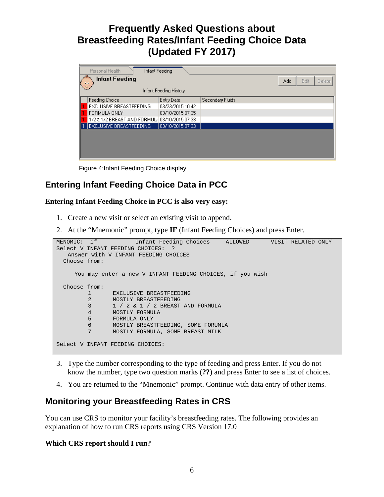| Personal Health<br>Infant Feeding<br><b>Infant Feeding</b><br>Edit<br>Add<br>Delete<br><br>Infant Feeding History |                                              |                  |                  |  |  |  |  |  |  |
|-------------------------------------------------------------------------------------------------------------------|----------------------------------------------|------------------|------------------|--|--|--|--|--|--|
|                                                                                                                   | Feeding Choice                               | Entry Date       | Secondary Fluids |  |  |  |  |  |  |
|                                                                                                                   | EXCLUSIVE BREASTFEEDING                      | 03/23/2015 10:42 |                  |  |  |  |  |  |  |
|                                                                                                                   | FORMULA ONLY                                 | 03/10/2015 07:35 |                  |  |  |  |  |  |  |
|                                                                                                                   | 1/2 & 1/2 BREAST AND FORMUL 03/10/2015 07:33 |                  |                  |  |  |  |  |  |  |
|                                                                                                                   | EXCLUSIVE BREASTFEEDING                      | 03/10/2015 07:33 |                  |  |  |  |  |  |  |
|                                                                                                                   |                                              |                  |                  |  |  |  |  |  |  |

Figure 4:Infant Feeding Choice display

### **Entering Infant Feeding Choice Data in PCC**

#### **Entering Infant Feeding Choice in PCC is also very easy:**

- 1. Create a new visit or select an existing visit to append.
- 2. At the "Mnemonic" prompt, type **IF** (Infant Feeding Choices) and press Enter.

```
MENOMIC: if Infant Feeding Choices ALLOWED VISIT RELATED ONLY
Select V INFANT FEEDING CHOICES: ?
   Answer with V INFANT FEEDING CHOICES
   Choose from:
     You may enter a new V INFANT FEEDING CHOICES, if you wish
   Choose from:
         1 EXCLUSIVE BREASTFEEDING<br>2 MOSTLY BREASTFEEDING
         2 MOSTLY BREASTFEEDING<br>3 1 / 2 & 1 / 2 BREAST
           3 1 / 2 & 1 / 2 BREAST AND FORMULA
         4 MOSTLY FORMULA<br>5 FORMULA ONLY
          5 FORMULA ONLY<br>6 MOSTLY BREAST
           6 MOSTLY BREASTFEEDING, SOME FORUMLA
                  7 MOSTLY FORMULA, SOME BREAST MILK
Select V INFANT FEEDING CHOICES:
```
- 3. Type the number corresponding to the type of feeding and press Enter. If you do not know the number, type two question marks (**??**) and press Enter to see a list of choices.
- 4. You are returned to the "Mnemonic" prompt. Continue with data entry of other items.

### **Monitoring your Breastfeeding Rates in CRS**

You can use CRS to monitor your facility's breastfeeding rates. The following provides an explanation of how to run CRS reports using CRS Version 17.0

#### **Which CRS report should I run?**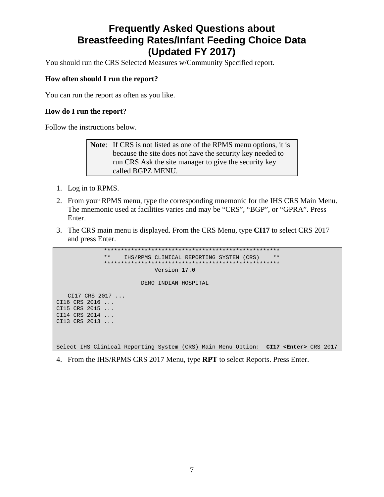You should run the CRS Selected Measures w/Community Specified report.

#### **How often should I run the report?**

You can run the report as often as you like.

#### **How do I run the report?**

Follow the instructions below.

**Note**: If CRS is not listed as one of the RPMS menu options, it is because the site does not have the security key needed to run CRS Ask the site manager to give the security key called BGPZ MENU.

- 1. Log in to RPMS.
- 2. From your RPMS menu, type the corresponding mnemonic for the IHS CRS Main Menu. The mnemonic used at facilities varies and may be "CRS", "BGP", or "GPRA". Press Enter.
- 3. The CRS main menu is displayed. From the CRS Menu, type **CI17** to select CRS 2017 and press Enter.

```
 ****************************************************
               ** IHS/RPMS CLINICAL REPORTING SYSTEM (CRS) **
 ****************************************************
                             Version 17.0
                         DEMO INDIAN HOSPITAL
   CI17 CRS 2017 ... 
CI16 CRS 2016 ... 
CI15 CRS 2015 ... 
CI14 CRS 2014 ... 
CI13 CRS 2013 ...
Select IHS Clinical Reporting System (CRS) Main Menu Option: CI17 <Enter> CRS 2017
```
4. From the IHS/RPMS CRS 2017 Menu, type **RPT** to select Reports. Press Enter.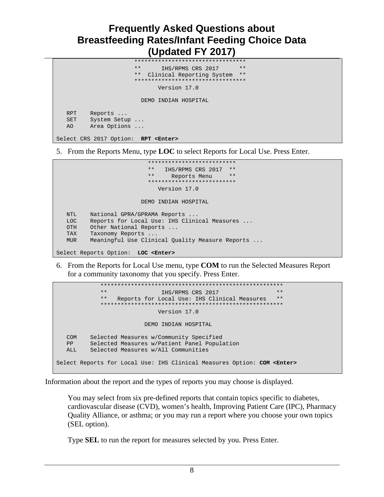```
 *********************************
                          IHS/RPMS CRS 2017
                   ** Clinical Reporting System **
                   *********************************
                          Version 17.0
                      DEMO INDIAN HOSPITAL
 RPT Reports ...
 SET System Setup ...
 AO Area Options ...
```
5. From the Reports Menu, type **LOC** to select Reports for Local Use. Press Enter.

```
 **************************
                       ** IHS/RPMS CRS 2017 **
                            ** Reports Menu **
                        **************************
                           Version 17.0
                      DEMO INDIAN HOSPITAL
 NTL National GPRA/GPRAMA Reports ...
 LOC Reports for Local Use: IHS Clinical Measures ...
 OTH Other National Reports ...
 TAX Taxonomy Reports ...
 MUR Meaningful Use Clinical Quality Measure Reports ...
```
Select Reports Option: **LOC <Enter>**

Select CRS 2017 Option: **RPT <Enter>**

6. From the Reports for Local Use menu, type **COM** to run the Selected Measures Report for a community taxonomy that you specify. Press Enter.

```
 ******************************************************
                                  IHS/RPMS CRS 2017
                ** Reports for Local Use: IHS Clinical Measures **
                ******************************************************
                                   Version 17.0 
                               DEMO INDIAN HOSPITAL
  COM Selected Measures w/Community Specified<br>PP Selected Measures w/Patient Panel Popul
         Selected Measures w/Patient Panel Population
   ALL Selected Measures w/All Communities
Select Reports for Local Use: IHS Clinical Measures Option: COM <Enter>
```
Information about the report and the types of reports you may choose is displayed.

You may select from six pre-defined reports that contain topics specific to diabetes, cardiovascular disease (CVD), women's health, Improving Patient Care (IPC), Pharmacy Quality Alliance, or asthma; or you may run a report where you choose your own topics (SEL option).

Type **SEL** to run the report for measures selected by you. Press Enter.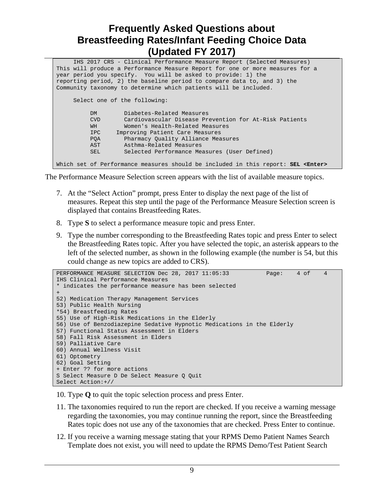| IHS 2017 CRS - Clinical Performance Measure Report (Selected Measures)                   |  |  |  |  |  |  |  |  |  |
|------------------------------------------------------------------------------------------|--|--|--|--|--|--|--|--|--|
| This will produce a Performance Measure Report for one or more measures for a            |  |  |  |  |  |  |  |  |  |
| year period you specify. You will be asked to provide: 1) the                            |  |  |  |  |  |  |  |  |  |
| reporting period, 2) the baseline period to compare data to, and 3) the                  |  |  |  |  |  |  |  |  |  |
| Community taxonomy to determine which patients will be included.                         |  |  |  |  |  |  |  |  |  |
|                                                                                          |  |  |  |  |  |  |  |  |  |
| Select one of the following:                                                             |  |  |  |  |  |  |  |  |  |
|                                                                                          |  |  |  |  |  |  |  |  |  |
| Diabetes-Related Measures<br>DM                                                          |  |  |  |  |  |  |  |  |  |
| Cardiovascular Disease Prevention for At-Risk Patients<br><b>CVD</b>                     |  |  |  |  |  |  |  |  |  |
| WH<br>Women's Health-Related Measures                                                    |  |  |  |  |  |  |  |  |  |
| Improving Patient Care Measures<br>IPC.                                                  |  |  |  |  |  |  |  |  |  |
| Pharmacy Quality Alliance Measures<br><b>POA</b>                                         |  |  |  |  |  |  |  |  |  |
| AST<br>Asthma-Related Measures                                                           |  |  |  |  |  |  |  |  |  |
| Selected Performance Measures (User Defined)<br>SEL                                      |  |  |  |  |  |  |  |  |  |
|                                                                                          |  |  |  |  |  |  |  |  |  |
| Which set of Performance measures should be included in this report: SEL <enter></enter> |  |  |  |  |  |  |  |  |  |

The Performance Measure Selection screen appears with the list of available measure topics.

- 7. At the "Select Action" prompt, press Enter to display the next page of the list of measures. Repeat this step until the page of the Performance Measure Selection screen is displayed that contains Breastfeeding Rates.
- 8. Type **S** to select a performance measure topic and press Enter.
- 9. Type the number corresponding to the Breastfeeding Rates topic and press Enter to select the Breastfeeding Rates topic. After you have selected the topic, an asterisk appears to the left of the selected number, as shown in the following example (the number is 54, but this could change as new topics are added to CRS).

```
PERFORMANCE MEASURE SELECTION Dec 28, 2017 11:05:33 Page: 4 of 4
IHS Clinical Performance Measures
* indicates the performance measure has been selected
+
52) Medication Therapy Management Services 
53) Public Health Nursing 
*54) Breastfeeding Rates 
55) Use of High-Risk Medications in the Elderly 
56) Use of Benzodiazepine Sedative Hypnotic Medications in the Elderly 
57) Functional Status Assessment in Elders 
58) Fall Risk Assessment in Elders 
59) Palliative Care 
60) Annual Wellness Visit 
61) Optometry 
62) Goal Setting 
+ Enter ?? for more actions 
S Select Measure D De Select Measure Q Quit 
Select Action:+//
```
10. Type **Q** to quit the topic selection process and press Enter.

- 11. The taxonomies required to run the report are checked. If you receive a warning message regarding the taxonomies, you may continue running the report, since the Breastfeeding Rates topic does not use any of the taxonomies that are checked. Press Enter to continue.
- 12. If you receive a warning message stating that your RPMS Demo Patient Names Search Template does not exist, you will need to update the RPMS Demo/Test Patient Search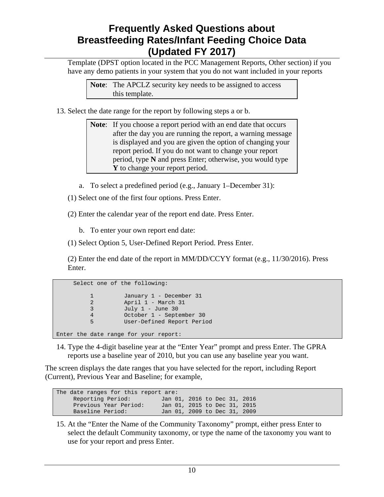Template (DPST option located in the PCC Management Reports, Other section) if you have any demo patients in your system that you do not want included in your reports

**Note**: The APCLZ security key needs to be assigned to access this template.

13. Select the date range for the report by following steps a or b.

**Note:** If you choose a report period with an end date that occurs after the day you are running the report, a warning message is displayed and you are given the option of changing your report period. If you do not want to change your report period, type **N** and press Enter; otherwise, you would type **Y** to change your report period.

- a. To select a predefined period (e.g., January 1–December 31):
- (1) Select one of the first four options. Press Enter.
- (2) Enter the calendar year of the report end date. Press Enter.
	- b. To enter your own report end date:
- (1) Select Option 5, User-Defined Report Period. Press Enter.

(2) Enter the end date of the report in MM/DD/CCYY format (e.g., 11/30/2016). Press Enter.

|                       | Select one of the following:          |                                          |                                                                                   |  |
|-----------------------|---------------------------------------|------------------------------------------|-----------------------------------------------------------------------------------|--|
| 1<br>2<br>3<br>4<br>5 |                                       | April 1 - March 31<br>July $1$ - June 30 | January 1 - December 31<br>October 1 - September 30<br>User-Defined Report Period |  |
|                       | Enter the date range for your report: |                                          |                                                                                   |  |

14. Type the 4-digit baseline year at the "Enter Year" prompt and press Enter. The GPRA reports use a baseline year of 2010, but you can use any baseline year you want.

The screen displays the date ranges that you have selected for the report, including Report (Current), Previous Year and Baseline; for example,

| The date ranges for this report are: |  |                              |  |  |
|--------------------------------------|--|------------------------------|--|--|
| Reporting Period:                    |  | Jan 01, 2016 to Dec 31, 2016 |  |  |
| Previous Year Period:                |  | Jan 01, 2015 to Dec 31, 2015 |  |  |
| Baseline Period:                     |  | Jan 01, 2009 to Dec 31, 2009 |  |  |

15. At the "Enter the Name of the Community Taxonomy" prompt, either press Enter to select the default Community taxonomy, or type the name of the taxonomy you want to use for your report and press Enter.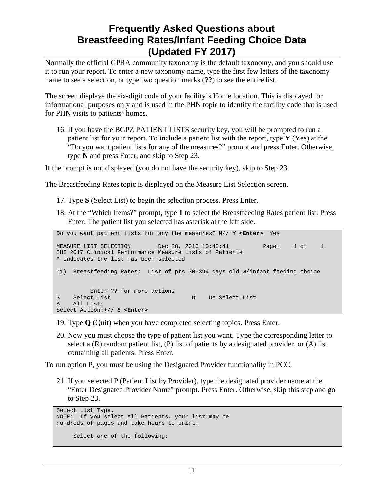Normally the official GPRA community taxonomy is the default taxonomy, and you should use it to run your report. To enter a new taxonomy name, type the first few letters of the taxonomy name to see a selection, or type two question marks (**??**) to see the entire list.

The screen displays the six-digit code of your facility's Home location. This is displayed for informational purposes only and is used in the PHN topic to identify the facility code that is used for PHN visits to patients' homes.

16. If you have the BGPZ PATIENT LISTS security key, you will be prompted to run a patient list for your report. To include a patient list with the report, type **Y** (Yes) at the "Do you want patient lists for any of the measures?" prompt and press Enter. Otherwise, type **N** and press Enter, and skip to Step 23.

If the prompt is not displayed (you do not have the security key), skip to Step 23.

The Breastfeeding Rates topic is displayed on the Measure List Selection screen.

- 17. Type **S** (Select List) to begin the selection process. Press Enter.
- 18. At the "Which Items?" prompt, type **1** to select the Breastfeeding Rates patient list. Press Enter. The patient list you selected has asterisk at the left side.

Do you want patient lists for any the measures? N// **Y <Enter>** Yes MEASURE LIST SELECTION Dec 28, 2016 10:40:41 Page: 1 of 1 IHS 2017 Clinical Performance Measure Lists of Patients \* indicates the list has been selected \*1) Breastfeeding Rates: List of pts 30-394 days old w/infant feeding choice Enter ?? for more actions<br>S Select List S Select List<br>
a all Lists<br>
a all Lists All Lists Select Action:+// **S <Enter>**

- 19. Type **Q** (Quit) when you have completed selecting topics. Press Enter.
- 20. Now you must choose the type of patient list you want. Type the corresponding letter to select a  $(R)$  random patient list,  $(P)$  list of patients by a designated provider, or  $(A)$  list containing all patients. Press Enter.

To run option P, you must be using the Designated Provider functionality in PCC.

21. If you selected P (Patient List by Provider), type the designated provider name at the "Enter Designated Provider Name" prompt. Press Enter. Otherwise, skip this step and go to Step 23.

```
Select List Type.
NOTE: If you select All Patients, your list may be
hundreds of pages and take hours to print.
     Select one of the following:
```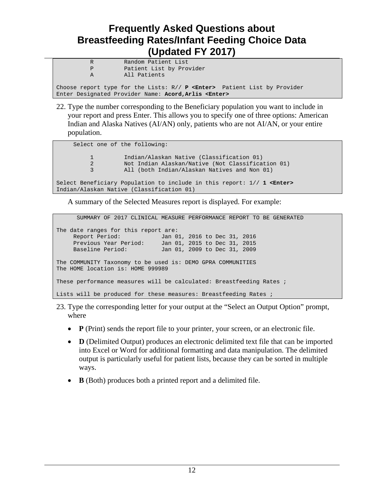| R | Random Patient List                                                                                                                               |
|---|---------------------------------------------------------------------------------------------------------------------------------------------------|
| P | Patient List by Provider                                                                                                                          |
| A | All Patients                                                                                                                                      |
|   | Choose report type for the Lists: R// P <enter> Patient List by Provider<br/>Enter Designated Provider Name: Acord, Arlis <enter></enter></enter> |

22. Type the number corresponding to the Beneficiary population you want to include in your report and press Enter. This allows you to specify one of three options: American Indian and Alaska Natives (AI/AN) only, patients who are not AI/AN, or your entire population.

```
 Select one of the following:
           1 Indian/Alaskan Native (Classification 01)<br>2 Not Indian Alaskan/Native (Not Classifica
            2 Not Indian Alaskan/Native (Not Classification 01)
                      All (both Indian/Alaskan Natives and Non 01)
Select Beneficiary Population to include in this report: 1// 1 <Enter> 
Indian/Alaskan Native (Classification 01)
```
A summary of the Selected Measures report is displayed. For example:

| SUMMARY OF 2017 CLINICAL MEASURE PERFORMANCE REPORT TO BE GENERATED                                 |                                                                                              |  |
|-----------------------------------------------------------------------------------------------------|----------------------------------------------------------------------------------------------|--|
| The date ranges for this report are:<br>Report Period:<br>Previous Year Period:<br>Baseline Period: | Jan 01, 2016 to Dec 31, 2016<br>Jan 01, 2015 to Dec 31, 2015<br>Jan 01, 2009 to Dec 31, 2009 |  |
| The COMMUNITY Taxonomy to be used is: DEMO GPRA COMMUNITIES<br>The HOME location is: HOME 999989    |                                                                                              |  |
| These performance measures will be calculated: Breastfeeding Rates ;                                |                                                                                              |  |
| Lists will be produced for these measures: Breastfeeding Rates ;                                    |                                                                                              |  |

- 23. Type the corresponding letter for your output at the "Select an Output Option" prompt, where
	- **P** (Print) sends the report file to your printer, your screen, or an electronic file.
	- **D** (Delimited Output) produces an electronic delimited text file that can be imported into Excel or Word for additional formatting and data manipulation. The delimited output is particularly useful for patient lists, because they can be sorted in multiple ways.
	- **B** (Both) produces both a printed report and a delimited file.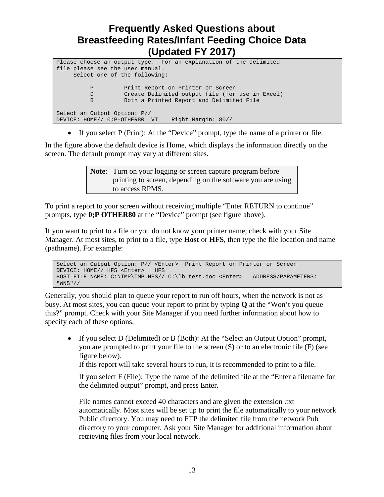```
Please choose an output type. For an explanation of the delimited
file please see the user manual.
      Select one of the following:
           P Print Report on Printer or Screen<br>D Create Delimited output file (for
           D Create Delimited output file (for use in Excel)<br>B Both a Printed Report and Delimited File
                        B Both a Printed Report and Delimited File
Select an Output Option: P// 
DEVICE: HOME// 0;P-OTHER80 VT Right Margin: 80//
```
• If you select P (Print): At the "Device" prompt, type the name of a printer or file.

In the figure above the default device is Home, which displays the information directly on the screen. The default prompt may vary at different sites.

> **Note**: Turn on your logging or screen capture program before printing to screen, depending on the software you are using to access RPMS.

To print a report to your screen without receiving multiple "Enter RETURN to continue" prompts, type **0;P OTHER80** at the "Device" prompt (see figure above).

If you want to print to a file or you do not know your printer name, check with your Site Manager. At most sites, to print to a file, type **Host** or **HFS**, then type the file location and name (pathname). For example:

```
Select an Output Option: P// <Enter> Print Report on Printer or Screen
DEVICE: HOME// HFS <Enter> HFS
HOST FILE NAME: C:\TMP\TMP.HFS// C:\lb_test.doc <Enter> ADDRESS/PARAMETERS:
"WNS"//
```
Generally, you should plan to queue your report to run off hours, when the network is not as busy. At most sites, you can queue your report to print by typing **Q** at the "Won't you queue this?" prompt. Check with your Site Manager if you need further information about how to specify each of these options.

• If you select D (Delimited) or B (Both): At the "Select an Output Option" prompt, you are prompted to print your file to the screen (S) or to an electronic file (F) (see figure below).

If this report will take several hours to run, it is recommended to print to a file.

If you select F (File): Type the name of the delimited file at the "Enter a filename for the delimited output" prompt, and press Enter.

File names cannot exceed 40 characters and are given the extension .txt automatically. Most sites will be set up to print the file automatically to your network Public directory. You may need to FTP the delimited file from the network Pub directory to your computer. Ask your Site Manager for additional information about retrieving files from your local network.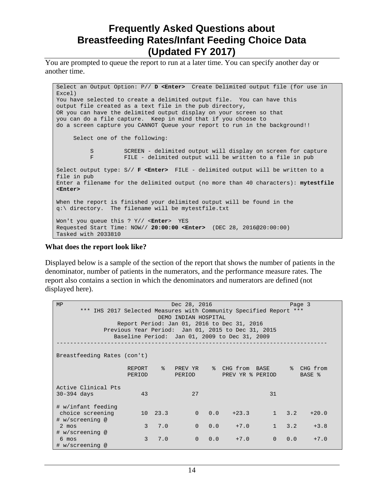You are prompted to queue the report to run at a later time. You can specify another day or another time.

Select an Output Option: P// **D <Enter>** Create Delimited output file (for use in Excel) You have selected to create a delimited output file. You can have this output file created as a text file in the pub directory, OR you can have the delimited output display on your screen so that you can do a file capture. Keep in mind that if you choose to do a screen capture you CANNOT Queue your report to run in the background!! Select one of the following: S SCREEN - delimited output will display on screen for capture<br>F FILE - delimited output will be written to a file in pub FILE - delimited output will be written to a file in pub Select output type: S// **F <Enter>** FILE - delimited output will be written to a file in pub Enter a filename for the delimited output (no more than 40 characters): **mytestfile <Enter>** When the report is finished your delimited output will be found in the q:\ directory. The filename will be mytestfile.txt Won't you queue this ? Y// <**Enter**> YES Requested Start Time: NOW// **20:00:00 <Enter>** (DEC 28, 2016@20:00:00) Tasked with 2033810

#### **What does the report look like?**

Displayed below is a sample of the section of the report that shows the number of patients in the denominator, number of patients in the numerators, and the performance measure rates. The report also contains a section in which the denominators and numerators are defined (not displayed here).

| MP                                                                                         |               |                 | Dec 28, 2016   |  |                                               |    | Page 3        |               |  |
|--------------------------------------------------------------------------------------------|---------------|-----------------|----------------|--|-----------------------------------------------|----|---------------|---------------|--|
|                                                                                            |               |                 |                |  |                                               |    |               |               |  |
| *** IHS 2017 Selected Measures with Community Specified Report ***<br>DEMO INDIAN HOSPITAL |               |                 |                |  |                                               |    |               |               |  |
| Report Period: Jan 01, 2016 to Dec 31, 2016                                                |               |                 |                |  |                                               |    |               |               |  |
| Previous Year Period: Jan 01, 2015 to Dec 31, 2015                                         |               |                 |                |  |                                               |    |               |               |  |
|                                                                                            |               |                 |                |  | Baseline Period: Jan 01, 2009 to Dec 31, 2009 |    |               |               |  |
|                                                                                            |               |                 |                |  |                                               |    |               |               |  |
|                                                                                            |               |                 |                |  |                                               |    |               |               |  |
| Breastfeeding Rates (con't)                                                                |               |                 |                |  |                                               |    |               |               |  |
|                                                                                            |               |                 |                |  |                                               |    |               |               |  |
|                                                                                            | <b>REPORT</b> | $\approx$       | PREV YR        |  | % CHG from BASE                               |    | ိ $\approx$   | CHG from      |  |
|                                                                                            | PERIOD        |                 | PERIOD         |  | PREV YR % PERIOD                              |    |               | <b>BASE %</b> |  |
|                                                                                            |               |                 |                |  |                                               |    |               |               |  |
| Active Clinical Pts                                                                        |               |                 |                |  |                                               |    |               |               |  |
| $30-394$ days                                                                              | 43            |                 | 2.7            |  |                                               | 31 |               |               |  |
|                                                                                            |               |                 |                |  |                                               |    |               |               |  |
| # w/infant feeding                                                                         |               |                 |                |  |                                               |    |               |               |  |
| choice screening                                                                           |               | $10 \quad 23.3$ |                |  | $0 \t 0.0 \t +23.3$                           |    | $1 \quad 3.2$ | $+20.0$       |  |
| # w/screening @                                                                            |               |                 |                |  |                                               |    |               |               |  |
| $2 \text{mos}$                                                                             | 3             | 7.0             |                |  | $0 \t 0.0 \t +7.0$                            | 1  | 3.2           | $+3.8$        |  |
| # w/screening @                                                                            |               |                 |                |  |                                               |    |               |               |  |
| $6 \text{mos}$                                                                             | 3             | 7.0             | $\overline{0}$ |  | 0.0<br>$+7.0$                                 | 0  | 0.0           | $+7.0$        |  |
| # w/screening @                                                                            |               |                 |                |  |                                               |    |               |               |  |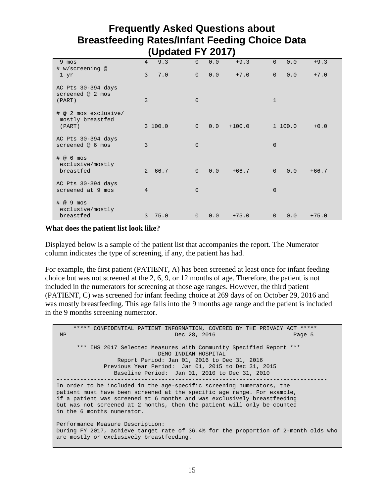|                                                          |                 | л.      |                |     |          |                |         |         |
|----------------------------------------------------------|-----------------|---------|----------------|-----|----------|----------------|---------|---------|
| 9 mos<br># w/screening @                                 | $4\overline{ }$ | 9.3     | $\Omega$       | 0.0 | $+9.3$   | $\Omega$       | 0.0     | $+9.3$  |
| 1 yr                                                     | $\overline{3}$  | 7.0     | $\Omega$       | 0.0 | $+7.0$   | $\Omega$       | 0.0     | $+7.0$  |
| AC Pts 30-394 days<br>screened @ 2 mos<br>(PART)         | 3               |         | $\Omega$       |     |          | $\mathbf{1}$   |         |         |
| # @ 2 mos exclusive/<br>mostly breastfed<br>(PART)       |                 | 3 100.0 | $\Omega$       | 0.0 | $+100.0$ |                | 1 100.0 | $+0.0$  |
| AC Pts 30-394 days<br>screened @ 6 mos                   | 3               |         | $\Omega$       |     |          | $\Omega$       |         |         |
| $\#$ @ 6 mos<br>exclusive/mostly<br>breastfed            |                 | 2 66.7  | $\overline{0}$ | 0.0 | $+66.7$  | $\overline{0}$ | 0.0     | $+66.7$ |
| AC Pts 30-394 days<br>screened at 9 mos                  | $\overline{4}$  |         | $\Omega$       |     |          | $\Omega$       |         |         |
| $\# \ @ \ 9 \text{mos}$<br>exclusive/mostly<br>breastfed |                 | 3, 75.0 | $\Omega$       | 0.0 | $+75.0$  | $\Omega$       | 0.0     | $+75.0$ |

#### **What does the patient list look like?**

Displayed below is a sample of the patient list that accompanies the report. The Numerator column indicates the type of screening, if any, the patient has had.

For example, the first patient (PATIENT, A) has been screened at least once for infant feeding choice but was not screened at the 2, 6, 9, or 12 months of age. Therefore, the patient is not included in the numerators for screening at those age ranges. However, the third patient (PATIENT, C) was screened for infant feeding choice at 269 days of on October 29, 2016 and was mostly breastfeeding. This age falls into the 9 months age range and the patient is included in the 9 months screening numerator.

 \*\*\*\*\* CONFIDENTIAL PATIENT INFORMATION, COVERED BY THE PRIVACY ACT \*\*\*\*\* Dec  $28, 2016$  \*\*\* IHS 2017 Selected Measures with Community Specified Report \*\*\* DEMO INDIAN HOSPITAL Report Period: Jan 01, 2016 to Dec 31, 2016 Previous Year Period: Jan 01, 2015 to Dec 31, 2015 Baseline Period: Jan 01, 2010 to Dec 31, 2010 -------------------------------------------------------------------------------- In order to be included in the age-specific screening numerators, the patient must have been screened at the specific age range. For example, if a patient was screened at 6 months and was exclusively breastfeeding but was not screened at 2 months, then the patient will only be counted in the 6 months numerator. Performance Measure Description: During FY 2017, achieve target rate of 36.4% for the proportion of 2-month olds who are mostly or exclusively breastfeeding.